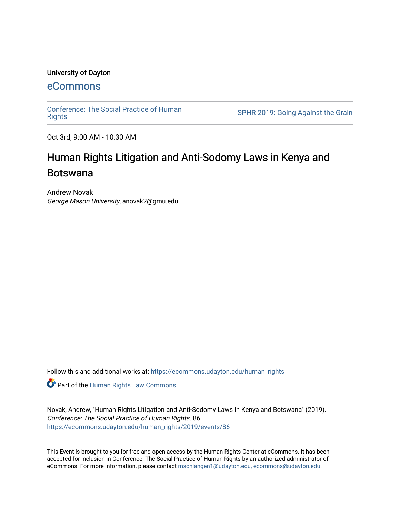#### University of Dayton

# [eCommons](https://ecommons.udayton.edu/)

[Conference: The Social Practice of Human](https://ecommons.udayton.edu/human_rights)

SPHR 2019: Going Against the Grain

Oct 3rd, 9:00 AM - 10:30 AM

# Human Rights Litigation and Anti-Sodomy Laws in Kenya and Botswana

Andrew Novak George Mason University, anovak2@gmu.edu

Follow this and additional works at: [https://ecommons.udayton.edu/human\\_rights](https://ecommons.udayton.edu/human_rights?utm_source=ecommons.udayton.edu%2Fhuman_rights%2F2019%2Fevents%2F86&utm_medium=PDF&utm_campaign=PDFCoverPages)

**Part of the Human Rights Law Commons** 

Novak, Andrew, "Human Rights Litigation and Anti-Sodomy Laws in Kenya and Botswana" (2019). Conference: The Social Practice of Human Rights. 86. [https://ecommons.udayton.edu/human\\_rights/2019/events/86](https://ecommons.udayton.edu/human_rights/2019/events/86?utm_source=ecommons.udayton.edu%2Fhuman_rights%2F2019%2Fevents%2F86&utm_medium=PDF&utm_campaign=PDFCoverPages) 

This Event is brought to you for free and open access by the Human Rights Center at eCommons. It has been accepted for inclusion in Conference: The Social Practice of Human Rights by an authorized administrator of eCommons. For more information, please contact [mschlangen1@udayton.edu, ecommons@udayton.edu.](mailto:mschlangen1@udayton.edu,%20ecommons@udayton.edu)